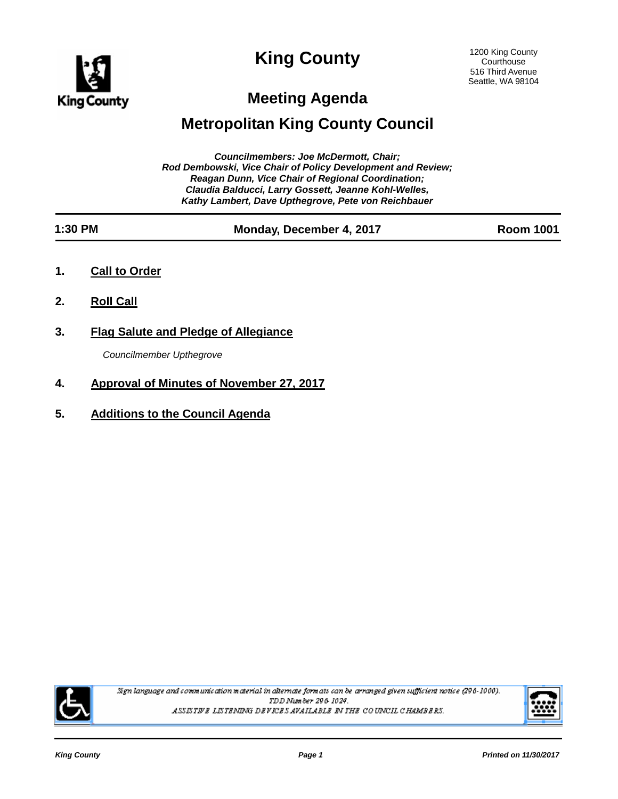

# **King County**

# **Meeting Agenda**

# **Metropolitan King County Council**

| <b>Councilmembers: Joe McDermott, Chair:</b><br>Rod Dembowski, Vice Chair of Policy Development and Review;<br><b>Reagan Dunn, Vice Chair of Regional Coordination;</b><br>Claudia Balducci, Larry Gossett, Jeanne Kohl-Welles,<br>Kathy Lambert, Dave Upthegrove, Pete von Reichbauer |                                                                         |                          |                  |  |
|----------------------------------------------------------------------------------------------------------------------------------------------------------------------------------------------------------------------------------------------------------------------------------------|-------------------------------------------------------------------------|--------------------------|------------------|--|
| 1:30 PM                                                                                                                                                                                                                                                                                |                                                                         | Monday, December 4, 2017 | <b>Room 1001</b> |  |
| 1.                                                                                                                                                                                                                                                                                     | <b>Call to Order</b>                                                    |                          |                  |  |
| 2.                                                                                                                                                                                                                                                                                     | <b>Roll Call</b>                                                        |                          |                  |  |
| 3.                                                                                                                                                                                                                                                                                     | <b>Flag Salute and Pledge of Allegiance</b><br>Councilmember Upthegrove |                          |                  |  |

**5. Additions to the Council Agenda**

**4. Approval of Minutes of November 27, 2017**



Sign language and communication material in alternate formats can be arranged given sufficient notice (296-1000). TDD Number 296-1024. ASSISTIVE LISTENING DEVICES AVAILABLE IN THE COUNCIL CHAMBERS.

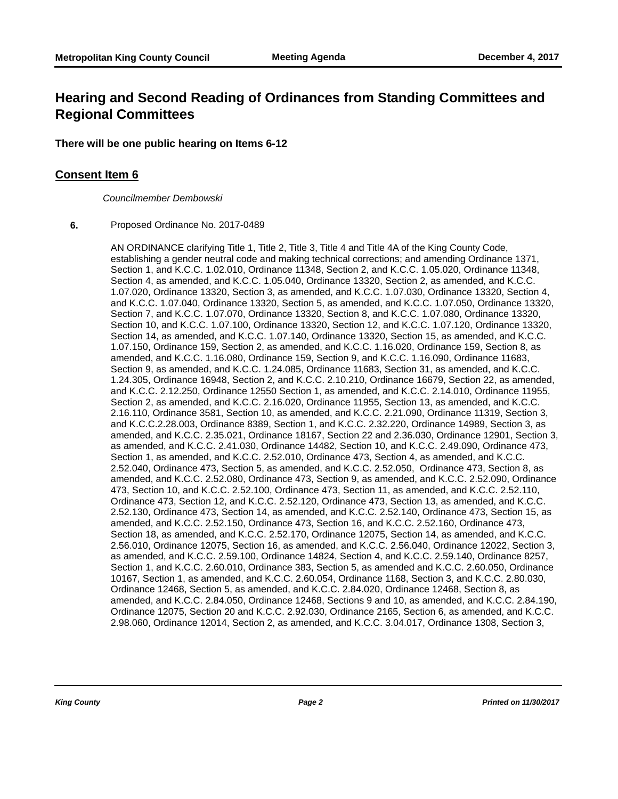## **Hearing and Second Reading of Ordinances from Standing Committees and Regional Committees**

### **There will be one public hearing on Items 6-12**

### **Consent Item 6**

*Councilmember Dembowski*

### **6.** Proposed Ordinance No. 2017-0489

AN ORDINANCE clarifying Title 1, Title 2, Title 3, Title 4 and Title 4A of the King County Code, establishing a gender neutral code and making technical corrections; and amending Ordinance 1371, Section 1, and K.C.C. 1.02.010, Ordinance 11348, Section 2, and K.C.C. 1.05.020, Ordinance 11348, Section 4, as amended, and K.C.C. 1.05.040, Ordinance 13320, Section 2, as amended, and K.C.C. 1.07.020, Ordinance 13320, Section 3, as amended, and K.C.C. 1.07.030, Ordinance 13320, Section 4, and K.C.C. 1.07.040, Ordinance 13320, Section 5, as amended, and K.C.C. 1.07.050, Ordinance 13320, Section 7, and K.C.C. 1.07.070, Ordinance 13320, Section 8, and K.C.C. 1.07.080, Ordinance 13320, Section 10, and K.C.C. 1.07.100, Ordinance 13320, Section 12, and K.C.C. 1.07.120, Ordinance 13320, Section 14, as amended, and K.C.C. 1.07.140, Ordinance 13320, Section 15, as amended, and K.C.C. 1.07.150, Ordinance 159, Section 2, as amended, and K.C.C. 1.16.020, Ordinance 159, Section 8, as amended, and K.C.C. 1.16.080, Ordinance 159, Section 9, and K.C.C. 1.16.090, Ordinance 11683, Section 9, as amended, and K.C.C. 1.24.085, Ordinance 11683, Section 31, as amended, and K.C.C. 1.24.305, Ordinance 16948, Section 2, and K.C.C. 2.10.210, Ordinance 16679, Section 22, as amended, and K.C.C. 2.12.250, Ordinance 12550 Section 1, as amended, and K.C.C. 2.14.010, Ordinance 11955, Section 2, as amended, and K.C.C. 2.16.020, Ordinance 11955, Section 13, as amended, and K.C.C. 2.16.110, Ordinance 3581, Section 10, as amended, and K.C.C. 2.21.090, Ordinance 11319, Section 3, and K.C.C.2.28.003, Ordinance 8389, Section 1, and K.C.C. 2.32.220, Ordinance 14989, Section 3, as amended, and K.C.C. 2.35.021, Ordinance 18167, Section 22 and 2.36.030, Ordinance 12901, Section 3, as amended, and K.C.C. 2.41.030, Ordinance 14482, Section 10, and K.C.C. 2.49.090, Ordinance 473, Section 1, as amended, and K.C.C. 2.52.010, Ordinance 473, Section 4, as amended, and K.C.C. 2.52.040, Ordinance 473, Section 5, as amended, and K.C.C. 2.52.050, Ordinance 473, Section 8, as amended, and K.C.C. 2.52.080, Ordinance 473, Section 9, as amended, and K.C.C. 2.52.090, Ordinance 473, Section 10, and K.C.C. 2.52.100, Ordinance 473, Section 11, as amended, and K.C.C. 2.52.110, Ordinance 473, Section 12, and K.C.C. 2.52.120, Ordinance 473, Section 13, as amended, and K.C.C. 2.52.130, Ordinance 473, Section 14, as amended, and K.C.C. 2.52.140, Ordinance 473, Section 15, as amended, and K.C.C. 2.52.150, Ordinance 473, Section 16, and K.C.C. 2.52.160, Ordinance 473, Section 18, as amended, and K.C.C. 2.52.170, Ordinance 12075, Section 14, as amended, and K.C.C. 2.56.010, Ordinance 12075, Section 16, as amended, and K.C.C. 2.56.040, Ordinance 12022, Section 3, as amended, and K.C.C. 2.59.100, Ordinance 14824, Section 4, and K.C.C. 2.59.140, Ordinance 8257, Section 1, and K.C.C. 2.60.010, Ordinance 383, Section 5, as amended and K.C.C. 2.60.050, Ordinance 10167, Section 1, as amended, and K.C.C. 2.60.054, Ordinance 1168, Section 3, and K.C.C. 2.80.030, Ordinance 12468, Section 5, as amended, and K.C.C. 2.84.020, Ordinance 12468, Section 8, as amended, and K.C.C. 2.84.050, Ordinance 12468, Sections 9 and 10, as amended, and K.C.C. 2.84.190, Ordinance 12075, Section 20 and K.C.C. 2.92.030, Ordinance 2165, Section 6, as amended, and K.C.C. 2.98.060, Ordinance 12014, Section 2, as amended, and K.C.C. 3.04.017, Ordinance 1308, Section 3,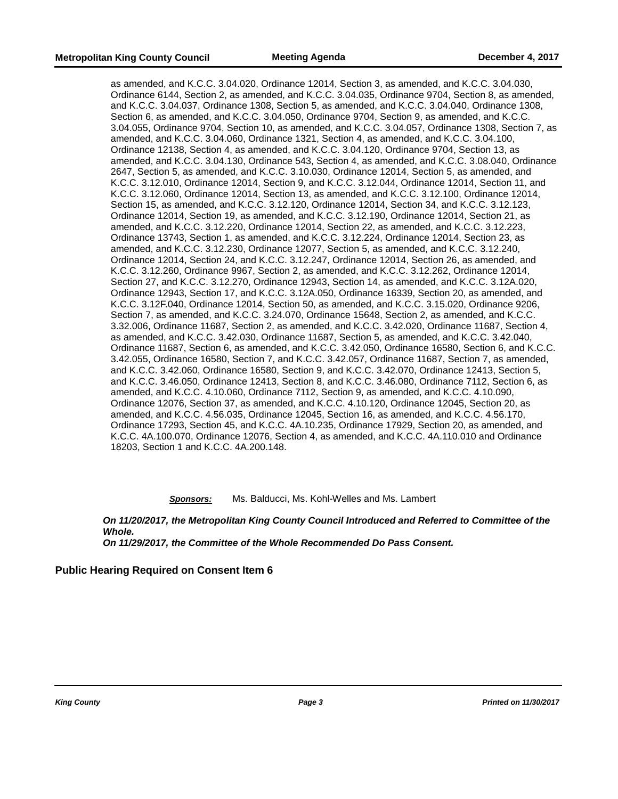as amended, and K.C.C. 3.04.020, Ordinance 12014, Section 3, as amended, and K.C.C. 3.04.030, Ordinance 6144, Section 2, as amended, and K.C.C. 3.04.035, Ordinance 9704, Section 8, as amended, and K.C.C. 3.04.037, Ordinance 1308, Section 5, as amended, and K.C.C. 3.04.040, Ordinance 1308, Section 6, as amended, and K.C.C. 3.04.050, Ordinance 9704, Section 9, as amended, and K.C.C. 3.04.055, Ordinance 9704, Section 10, as amended, and K.C.C. 3.04.057, Ordinance 1308, Section 7, as amended, and K.C.C. 3.04.060, Ordinance 1321, Section 4, as amended, and K.C.C. 3.04.100, Ordinance 12138, Section 4, as amended, and K.C.C. 3.04.120, Ordinance 9704, Section 13, as amended, and K.C.C. 3.04.130, Ordinance 543, Section 4, as amended, and K.C.C. 3.08.040, Ordinance 2647, Section 5, as amended, and K.C.C. 3.10.030, Ordinance 12014, Section 5, as amended, and K.C.C. 3.12.010, Ordinance 12014, Section 9, and K.C.C. 3.12.044, Ordinance 12014, Section 11, and K.C.C. 3.12.060, Ordinance 12014, Section 13, as amended, and K.C.C. 3.12.100, Ordinance 12014, Section 15, as amended, and K.C.C. 3.12.120, Ordinance 12014, Section 34, and K.C.C. 3.12.123, Ordinance 12014, Section 19, as amended, and K.C.C. 3.12.190, Ordinance 12014, Section 21, as amended, and K.C.C. 3.12.220, Ordinance 12014, Section 22, as amended, and K.C.C. 3.12.223, Ordinance 13743, Section 1, as amended, and K.C.C. 3.12.224, Ordinance 12014, Section 23, as amended, and K.C.C. 3.12.230, Ordinance 12077, Section 5, as amended, and K.C.C. 3.12.240, Ordinance 12014, Section 24, and K.C.C. 3.12.247, Ordinance 12014, Section 26, as amended, and K.C.C. 3.12.260, Ordinance 9967, Section 2, as amended, and K.C.C. 3.12.262, Ordinance 12014, Section 27, and K.C.C. 3.12.270, Ordinance 12943, Section 14, as amended, and K.C.C. 3.12A.020, Ordinance 12943, Section 17, and K.C.C. 3.12A.050, Ordinance 16339, Section 20, as amended, and K.C.C. 3.12F.040, Ordinance 12014, Section 50, as amended, and K.C.C. 3.15.020, Ordinance 9206, Section 7, as amended, and K.C.C. 3.24.070, Ordinance 15648, Section 2, as amended, and K.C.C. 3.32.006, Ordinance 11687, Section 2, as amended, and K.C.C. 3.42.020, Ordinance 11687, Section 4, as amended, and K.C.C. 3.42.030, Ordinance 11687, Section 5, as amended, and K.C.C. 3.42.040, Ordinance 11687, Section 6, as amended, and K.C.C. 3.42.050, Ordinance 16580, Section 6, and K.C.C. 3.42.055, Ordinance 16580, Section 7, and K.C.C. 3.42.057, Ordinance 11687, Section 7, as amended, and K.C.C. 3.42.060, Ordinance 16580, Section 9, and K.C.C. 3.42.070, Ordinance 12413, Section 5, and K.C.C. 3.46.050, Ordinance 12413, Section 8, and K.C.C. 3.46.080, Ordinance 7112, Section 6, as amended, and K.C.C. 4.10.060, Ordinance 7112, Section 9, as amended, and K.C.C. 4.10.090, Ordinance 12076, Section 37, as amended, and K.C.C. 4.10.120, Ordinance 12045, Section 20, as amended, and K.C.C. 4.56.035, Ordinance 12045, Section 16, as amended, and K.C.C. 4.56.170, Ordinance 17293, Section 45, and K.C.C. 4A.10.235, Ordinance 17929, Section 20, as amended, and K.C.C. 4A.100.070, Ordinance 12076, Section 4, as amended, and K.C.C. 4A.110.010 and Ordinance 18203, Section 1 and K.C.C. 4A.200.148.

*Sponsors:* Ms. Balducci, Ms. Kohl-Welles and Ms. Lambert

*On 11/20/2017, the Metropolitan King County Council Introduced and Referred to Committee of the Whole. On 11/29/2017, the Committee of the Whole Recommended Do Pass Consent.*

**Public Hearing Required on Consent Item 6**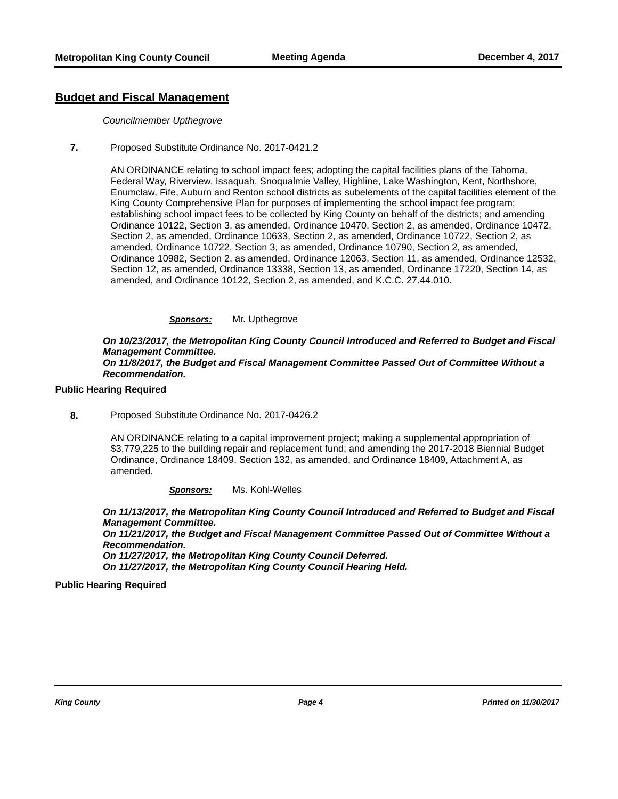### **Budget and Fiscal Management**

#### *Councilmember Upthegrove*

**7.** Proposed Substitute Ordinance No. 2017-0421.2

AN ORDINANCE relating to school impact fees; adopting the capital facilities plans of the Tahoma, Federal Way, Riverview, Issaquah, Snoqualmie Valley, Highline, Lake Washington, Kent, Northshore, Enumclaw, Fife, Auburn and Renton school districts as subelements of the capital facilities element of the King County Comprehensive Plan for purposes of implementing the school impact fee program; establishing school impact fees to be collected by King County on behalf of the districts; and amending Ordinance 10122, Section 3, as amended, Ordinance 10470, Section 2, as amended, Ordinance 10472, Section 2, as amended, Ordinance 10633, Section 2, as amended, Ordinance 10722, Section 2, as amended, Ordinance 10722, Section 3, as amended, Ordinance 10790, Section 2, as amended, Ordinance 10982, Section 2, as amended, Ordinance 12063, Section 11, as amended, Ordinance 12532, Section 12, as amended, Ordinance 13338, Section 13, as amended, Ordinance 17220, Section 14, as amended, and Ordinance 10122, Section 2, as amended, and K.C.C. 27.44.010.

#### *Sponsors:* Mr. Upthegrove

*On 10/23/2017, the Metropolitan King County Council Introduced and Referred to Budget and Fiscal Management Committee.* 

*On 11/8/2017, the Budget and Fiscal Management Committee Passed Out of Committee Without a Recommendation.*

### **Public Hearing Required**

**8.** Proposed Substitute Ordinance No. 2017-0426.2

AN ORDINANCE relating to a capital improvement project; making a supplemental appropriation of \$3,779,225 to the building repair and replacement fund; and amending the 2017-2018 Biennial Budget Ordinance, Ordinance 18409, Section 132, as amended, and Ordinance 18409, Attachment A, as amended.

*Sponsors:* Ms. Kohl-Welles

*On 11/13/2017, the Metropolitan King County Council Introduced and Referred to Budget and Fiscal Management Committee.* 

*On 11/21/2017, the Budget and Fiscal Management Committee Passed Out of Committee Without a Recommendation.* 

*On 11/27/2017, the Metropolitan King County Council Deferred. On 11/27/2017, the Metropolitan King County Council Hearing Held.*

**Public Hearing Required**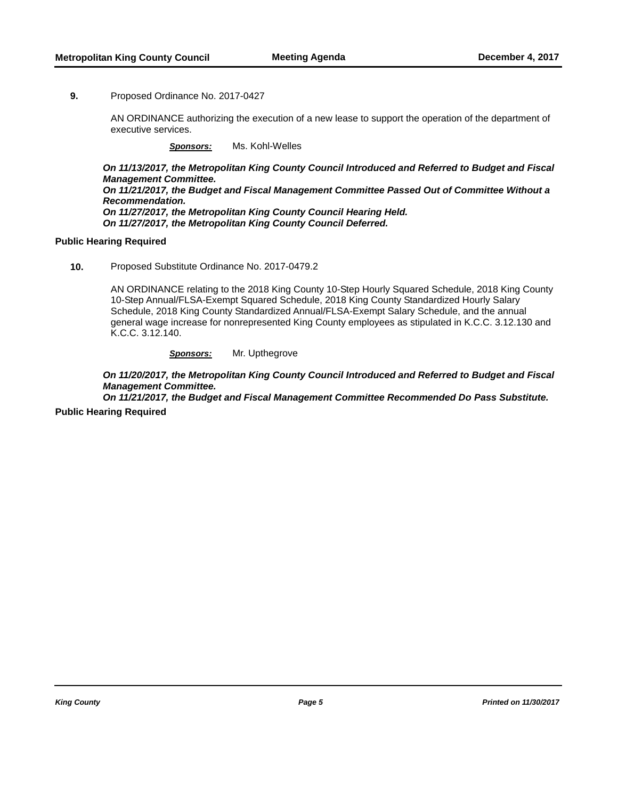#### **9.** Proposed Ordinance No. 2017-0427

AN ORDINANCE authorizing the execution of a new lease to support the operation of the department of executive services.

*Sponsors:* Ms. Kohl-Welles

*On 11/13/2017, the Metropolitan King County Council Introduced and Referred to Budget and Fiscal Management Committee. On 11/21/2017, the Budget and Fiscal Management Committee Passed Out of Committee Without a Recommendation. On 11/27/2017, the Metropolitan King County Council Hearing Held. On 11/27/2017, the Metropolitan King County Council Deferred.*

### **Public Hearing Required**

**10.** Proposed Substitute Ordinance No. 2017-0479.2

AN ORDINANCE relating to the 2018 King County 10-Step Hourly Squared Schedule, 2018 King County 10-Step Annual/FLSA-Exempt Squared Schedule, 2018 King County Standardized Hourly Salary Schedule, 2018 King County Standardized Annual/FLSA-Exempt Salary Schedule, and the annual general wage increase for nonrepresented King County employees as stipulated in K.C.C. 3.12.130 and K.C.C. 3.12.140.

*Sponsors:* Mr. Upthegrove

*On 11/20/2017, the Metropolitan King County Council Introduced and Referred to Budget and Fiscal Management Committee.* 

*On 11/21/2017, the Budget and Fiscal Management Committee Recommended Do Pass Substitute.* **Public Hearing Required**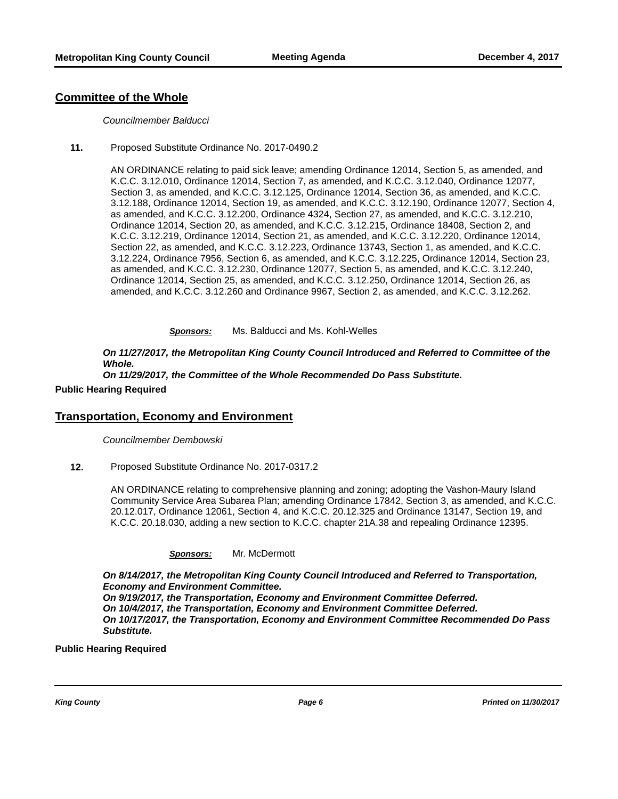### **Committee of the Whole**

#### *Councilmember Balducci*

**11.** Proposed Substitute Ordinance No. 2017-0490.2

AN ORDINANCE relating to paid sick leave; amending Ordinance 12014, Section 5, as amended, and K.C.C. 3.12.010, Ordinance 12014, Section 7, as amended, and K.C.C. 3.12.040, Ordinance 12077, Section 3, as amended, and K.C.C. 3.12.125, Ordinance 12014, Section 36, as amended, and K.C.C. 3.12.188, Ordinance 12014, Section 19, as amended, and K.C.C. 3.12.190, Ordinance 12077, Section 4, as amended, and K.C.C. 3.12.200, Ordinance 4324, Section 27, as amended, and K.C.C. 3.12.210, Ordinance 12014, Section 20, as amended, and K.C.C. 3.12.215, Ordinance 18408, Section 2, and K.C.C. 3.12.219, Ordinance 12014, Section 21, as amended, and K.C.C. 3.12.220, Ordinance 12014, Section 22, as amended, and K.C.C. 3.12.223, Ordinance 13743, Section 1, as amended, and K.C.C. 3.12.224, Ordinance 7956, Section 6, as amended, and K.C.C. 3.12.225, Ordinance 12014, Section 23, as amended, and K.C.C. 3.12.230, Ordinance 12077, Section 5, as amended, and K.C.C. 3.12.240, Ordinance 12014, Section 25, as amended, and K.C.C. 3.12.250, Ordinance 12014, Section 26, as amended, and K.C.C. 3.12.260 and Ordinance 9967, Section 2, as amended, and K.C.C. 3.12.262.

*Sponsors:* Ms. Balducci and Ms. Kohl-Welles

*On 11/27/2017, the Metropolitan King County Council Introduced and Referred to Committee of the Whole.* 

*On 11/29/2017, the Committee of the Whole Recommended Do Pass Substitute.*

#### **Public Hearing Required**

#### **Transportation, Economy and Environment**

*Councilmember Dembowski*

**12.** Proposed Substitute Ordinance No. 2017-0317.2

AN ORDINANCE relating to comprehensive planning and zoning; adopting the Vashon-Maury Island Community Service Area Subarea Plan; amending Ordinance 17842, Section 3, as amended, and K.C.C. 20.12.017, Ordinance 12061, Section 4, and K.C.C. 20.12.325 and Ordinance 13147, Section 19, and K.C.C. 20.18.030, adding a new section to K.C.C. chapter 21A.38 and repealing Ordinance 12395.

| <b>Sponsors:</b> | Mr. McDermott |
|------------------|---------------|
|------------------|---------------|

*On 8/14/2017, the Metropolitan King County Council Introduced and Referred to Transportation, Economy and Environment Committee. On 9/19/2017, the Transportation, Economy and Environment Committee Deferred. On 10/4/2017, the Transportation, Economy and Environment Committee Deferred. On 10/17/2017, the Transportation, Economy and Environment Committee Recommended Do Pass Substitute.*

### **Public Hearing Required**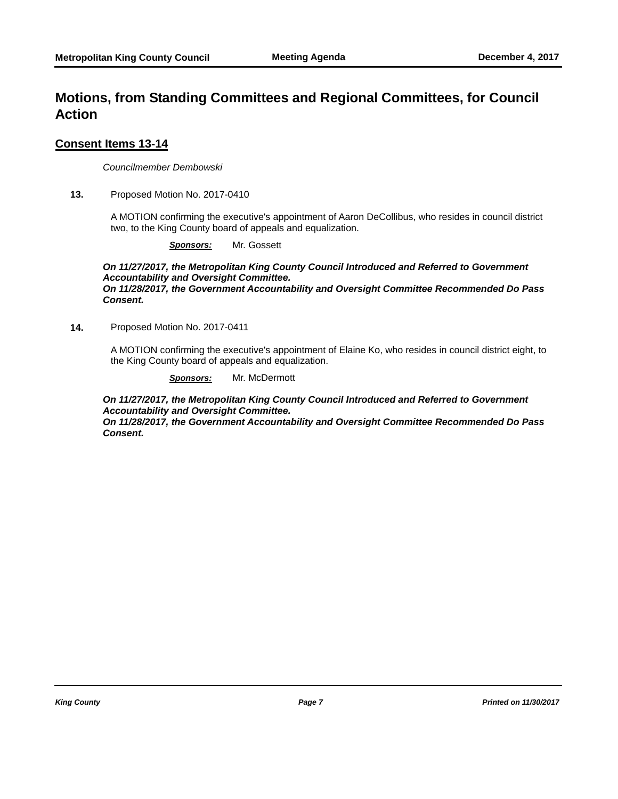## **Motions, from Standing Committees and Regional Committees, for Council Action**

### **Consent Items 13-14**

*Councilmember Dembowski*

**13.** Proposed Motion No. 2017-0410

A MOTION confirming the executive's appointment of Aaron DeCollibus, who resides in council district two, to the King County board of appeals and equalization.

*Sponsors:* Mr. Gossett

*On 11/27/2017, the Metropolitan King County Council Introduced and Referred to Government Accountability and Oversight Committee. On 11/28/2017, the Government Accountability and Oversight Committee Recommended Do Pass Consent.*

**14.** Proposed Motion No. 2017-0411

A MOTION confirming the executive's appointment of Elaine Ko, who resides in council district eight, to the King County board of appeals and equalization.

*Sponsors:* Mr. McDermott

*On 11/27/2017, the Metropolitan King County Council Introduced and Referred to Government Accountability and Oversight Committee.* 

*On 11/28/2017, the Government Accountability and Oversight Committee Recommended Do Pass Consent.*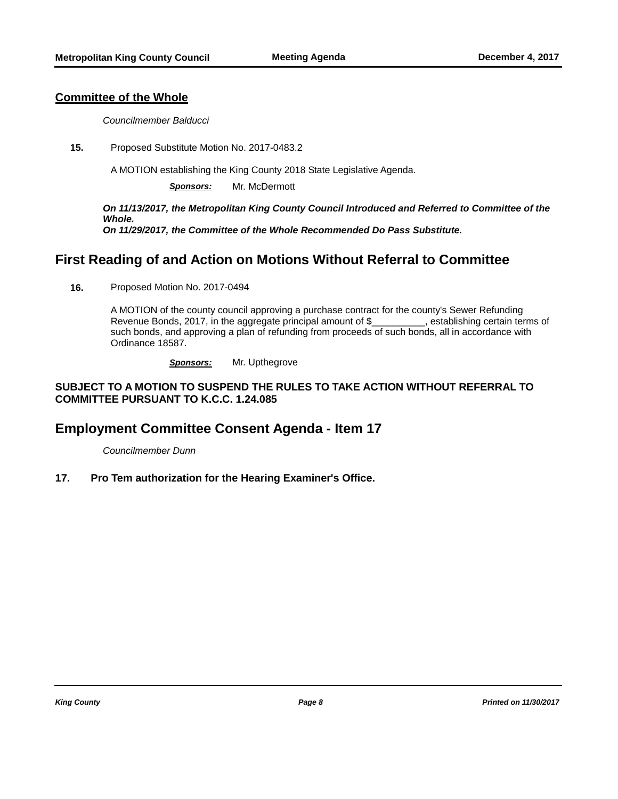### **Committee of the Whole**

*Councilmember Balducci*

**15.** Proposed Substitute Motion No. 2017-0483.2

A MOTION establishing the King County 2018 State Legislative Agenda.

*Sponsors:* Mr. McDermott

*On 11/13/2017, the Metropolitan King County Council Introduced and Referred to Committee of the Whole. On 11/29/2017, the Committee of the Whole Recommended Do Pass Substitute.*

## **First Reading of and Action on Motions Without Referral to Committee**

**16.** Proposed Motion No. 2017-0494

A MOTION of the county council approving a purchase contract for the county's Sewer Refunding Revenue Bonds, 2017, in the aggregate principal amount of \$\_\_\_\_\_\_\_\_\_\_, establishing certain terms of such bonds, and approving a plan of refunding from proceeds of such bonds, all in accordance with Ordinance 18587.

*Sponsors:* Mr. Upthegrove

### **SUBJECT TO A MOTION TO SUSPEND THE RULES TO TAKE ACTION WITHOUT REFERRAL TO COMMITTEE PURSUANT TO K.C.C. 1.24.085**

## **Employment Committee Consent Agenda - Item 17**

*Councilmember Dunn*

**17. Pro Tem authorization for the Hearing Examiner's Office.**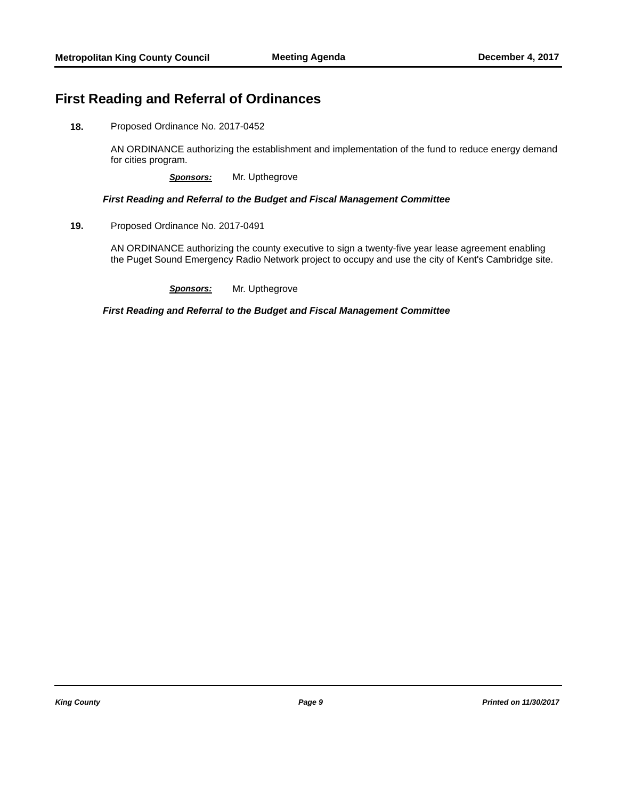## **First Reading and Referral of Ordinances**

**18.** Proposed Ordinance No. 2017-0452

AN ORDINANCE authorizing the establishment and implementation of the fund to reduce energy demand for cities program.

*Sponsors:* Mr. Upthegrove

### *First Reading and Referral to the Budget and Fiscal Management Committee*

**19.** Proposed Ordinance No. 2017-0491

AN ORDINANCE authorizing the county executive to sign a twenty-five year lease agreement enabling the Puget Sound Emergency Radio Network project to occupy and use the city of Kent's Cambridge site.

*Sponsors:* Mr. Upthegrove

*First Reading and Referral to the Budget and Fiscal Management Committee*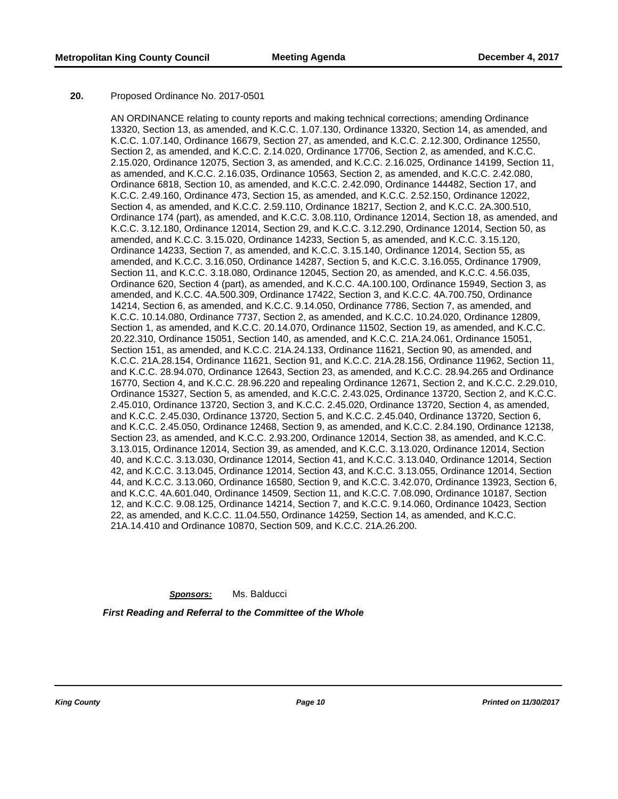#### **20.** Proposed Ordinance No. 2017-0501

AN ORDINANCE relating to county reports and making technical corrections; amending Ordinance 13320, Section 13, as amended, and K.C.C. 1.07.130, Ordinance 13320, Section 14, as amended, and K.C.C. 1.07.140, Ordinance 16679, Section 27, as amended, and K.C.C. 2.12.300, Ordinance 12550, Section 2, as amended, and K.C.C. 2.14.020, Ordinance 17706, Section 2, as amended, and K.C.C. 2.15.020, Ordinance 12075, Section 3, as amended, and K.C.C. 2.16.025, Ordinance 14199, Section 11, as amended, and K.C.C. 2.16.035, Ordinance 10563, Section 2, as amended, and K.C.C. 2.42.080, Ordinance 6818, Section 10, as amended, and K.C.C. 2.42.090, Ordinance 144482, Section 17, and K.C.C. 2.49.160, Ordinance 473, Section 15, as amended, and K.C.C. 2.52.150, Ordinance 12022, Section 4, as amended, and K.C.C. 2.59.110, Ordinance 18217, Section 2, and K.C.C. 2A.300.510, Ordinance 174 (part), as amended, and K.C.C. 3.08.110, Ordinance 12014, Section 18, as amended, and K.C.C. 3.12.180, Ordinance 12014, Section 29, and K.C.C. 3.12.290, Ordinance 12014, Section 50, as amended, and K.C.C. 3.15.020, Ordinance 14233, Section 5, as amended, and K.C.C. 3.15.120, Ordinance 14233, Section 7, as amended, and K.C.C. 3.15.140, Ordinance 12014, Section 55, as amended, and K.C.C. 3.16.050, Ordinance 14287, Section 5, and K.C.C. 3.16.055, Ordinance 17909, Section 11, and K.C.C. 3.18.080, Ordinance 12045, Section 20, as amended, and K.C.C. 4.56.035, Ordinance 620, Section 4 (part), as amended, and K.C.C. 4A.100.100, Ordinance 15949, Section 3, as amended, and K.C.C. 4A.500.309, Ordinance 17422, Section 3, and K.C.C. 4A.700.750, Ordinance 14214, Section 6, as amended, and K.C.C. 9.14.050, Ordinance 7786, Section 7, as amended, and K.C.C. 10.14.080, Ordinance 7737, Section 2, as amended, and K.C.C. 10.24.020, Ordinance 12809, Section 1, as amended, and K.C.C. 20.14.070, Ordinance 11502, Section 19, as amended, and K.C.C. 20.22.310, Ordinance 15051, Section 140, as amended, and K.C.C. 21A.24.061, Ordinance 15051, Section 151, as amended, and K.C.C. 21A.24.133, Ordinance 11621, Section 90, as amended, and K.C.C. 21A.28.154, Ordinance 11621, Section 91, and K.C.C. 21A.28.156, Ordinance 11962, Section 11, and K.C.C. 28.94.070, Ordinance 12643, Section 23, as amended, and K.C.C. 28.94.265 and Ordinance 16770, Section 4, and K.C.C. 28.96.220 and repealing Ordinance 12671, Section 2, and K.C.C. 2.29.010, Ordinance 15327, Section 5, as amended, and K.C.C. 2.43.025, Ordinance 13720, Section 2, and K.C.C. 2.45.010, Ordinance 13720, Section 3, and K.C.C. 2.45.020, Ordinance 13720, Section 4, as amended, and K.C.C. 2.45.030, Ordinance 13720, Section 5, and K.C.C. 2.45.040, Ordinance 13720, Section 6, and K.C.C. 2.45.050, Ordinance 12468, Section 9, as amended, and K.C.C. 2.84.190, Ordinance 12138, Section 23, as amended, and K.C.C. 2.93.200, Ordinance 12014, Section 38, as amended, and K.C.C. 3.13.015, Ordinance 12014, Section 39, as amended, and K.C.C. 3.13.020, Ordinance 12014, Section 40, and K.C.C. 3.13.030, Ordinance 12014, Section 41, and K.C.C. 3.13.040, Ordinance 12014, Section 42, and K.C.C. 3.13.045, Ordinance 12014, Section 43, and K.C.C. 3.13.055, Ordinance 12014, Section 44, and K.C.C. 3.13.060, Ordinance 16580, Section 9, and K.C.C. 3.42.070, Ordinance 13923, Section 6, and K.C.C. 4A.601.040, Ordinance 14509, Section 11, and K.C.C. 7.08.090, Ordinance 10187, Section 12, and K.C.C. 9.08.125, Ordinance 14214, Section 7, and K.C.C. 9.14.060, Ordinance 10423, Section 22, as amended, and K.C.C. 11.04.550, Ordinance 14259, Section 14, as amended, and K.C.C. 21A.14.410 and Ordinance 10870, Section 509, and K.C.C. 21A.26.200.

*Sponsors:* Ms. Balducci *First Reading and Referral to the Committee of the Whole*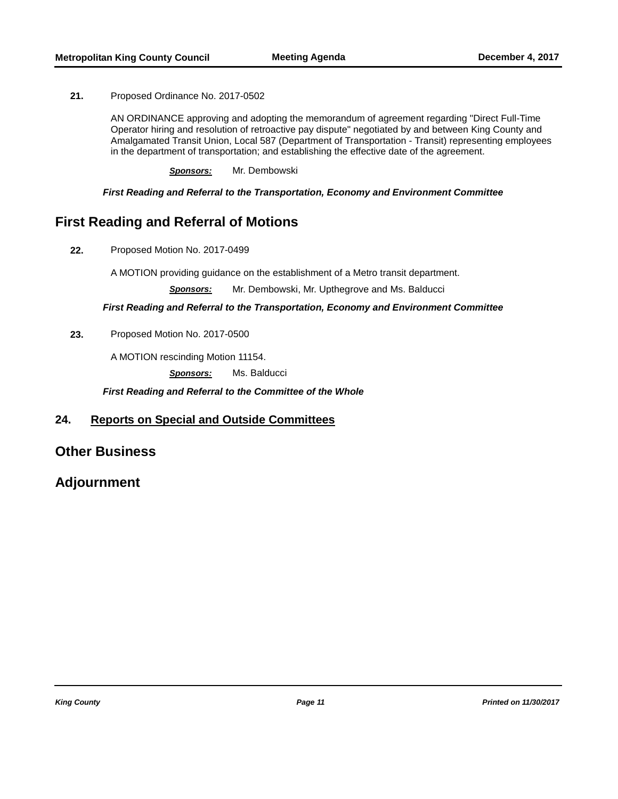**21.** Proposed Ordinance No. 2017-0502

AN ORDINANCE approving and adopting the memorandum of agreement regarding "Direct Full-Time Operator hiring and resolution of retroactive pay dispute" negotiated by and between King County and Amalgamated Transit Union, Local 587 (Department of Transportation - Transit) representing employees in the department of transportation; and establishing the effective date of the agreement.

*Sponsors:* Mr. Dembowski

*First Reading and Referral to the Transportation, Economy and Environment Committee*

## **First Reading and Referral of Motions**

**22.** Proposed Motion No. 2017-0499

A MOTION providing guidance on the establishment of a Metro transit department.

*Sponsors:* Mr. Dembowski, Mr. Upthegrove and Ms. Balducci

*First Reading and Referral to the Transportation, Economy and Environment Committee*

**23.** Proposed Motion No. 2017-0500

A MOTION rescinding Motion 11154.

*Sponsors:* Ms. Balducci

*First Reading and Referral to the Committee of the Whole*

### **24. Reports on Special and Outside Committees**

## **Other Business**

## **Adjournment**